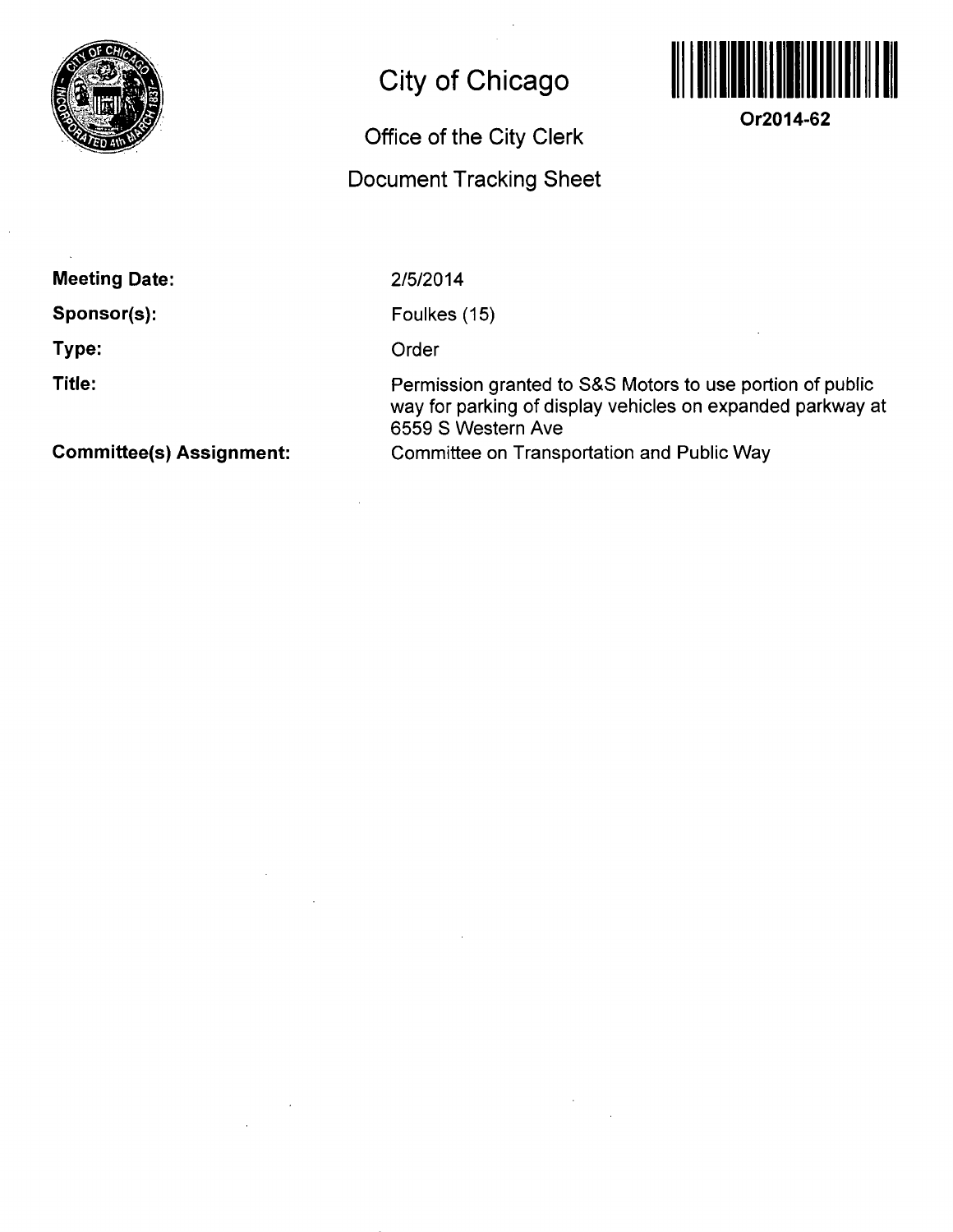

## **City of Chicago**

## **Office Of the City Clerk**

## **Document Tracking Sheet**



**Or2014-62** 

**Meeting Date:** 

**Sponsor(s):** 

**Type:** 

**Title:** 

**Committee(s) Assignment:** 

2/5/2014

Foulkes (15)

**Order** 

Permission granted to S&S Motors to use portion of public way for parking of display vehicles on expanded parkway at 6559 S Western Ave Committee on Transportation and Public Way